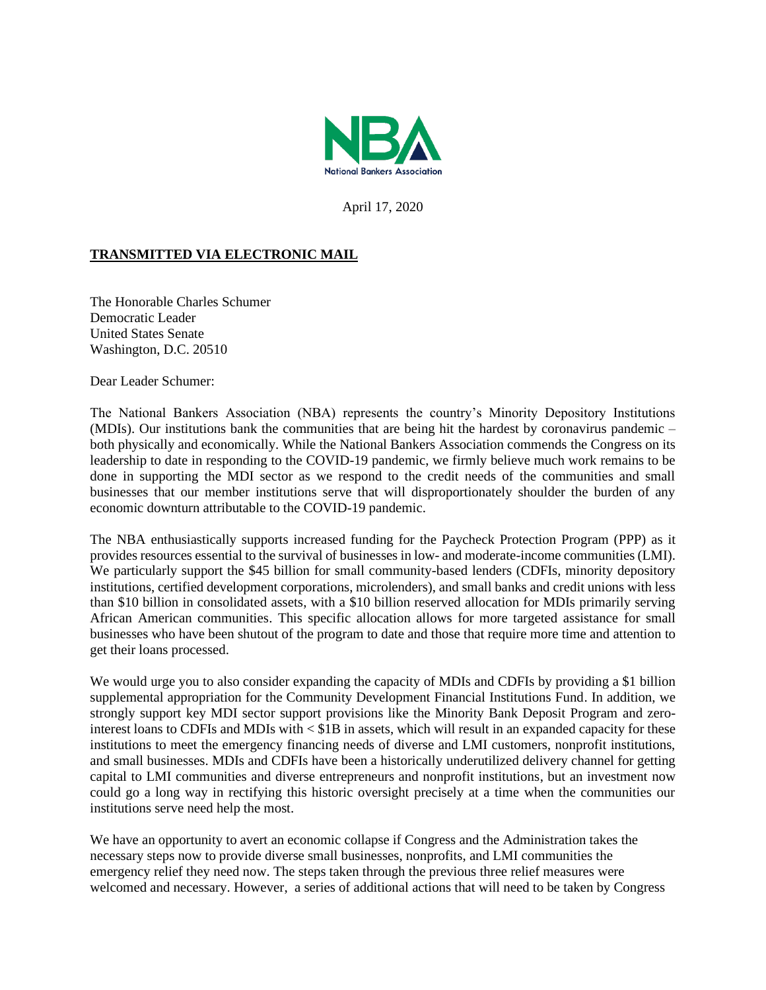

April 17, 2020

## **TRANSMITTED VIA ELECTRONIC MAIL**

The Honorable Charles Schumer Democratic Leader United States Senate Washington, D.C. 20510

Dear Leader Schumer:

The National Bankers Association (NBA) represents the country's Minority Depository Institutions (MDIs). Our institutions bank the communities that are being hit the hardest by coronavirus pandemic – both physically and economically. While the National Bankers Association commends the Congress on its leadership to date in responding to the COVID-19 pandemic, we firmly believe much work remains to be done in supporting the MDI sector as we respond to the credit needs of the communities and small businesses that our member institutions serve that will disproportionately shoulder the burden of any economic downturn attributable to the COVID-19 pandemic.

The NBA enthusiastically supports increased funding for the Paycheck Protection Program (PPP) as it provides resources essential to the survival of businesses in low- and moderate-income communities (LMI). We particularly support the \$45 billion for small community-based lenders (CDFIs, minority depository institutions, certified development corporations, microlenders), and small banks and credit unions with less than \$10 billion in consolidated assets, with a \$10 billion reserved allocation for MDIs primarily serving African American communities. This specific allocation allows for more targeted assistance for small businesses who have been shutout of the program to date and those that require more time and attention to get their loans processed.

We would urge you to also consider expanding the capacity of MDIs and CDFIs by providing a \$1 billion supplemental appropriation for the Community Development Financial Institutions Fund. In addition, we strongly support key MDI sector support provisions like the Minority Bank Deposit Program and zerointerest loans to CDFIs and MDIs with < \$1B in assets, which will result in an expanded capacity for these institutions to meet the emergency financing needs of diverse and LMI customers, nonprofit institutions, and small businesses. MDIs and CDFIs have been a historically underutilized delivery channel for getting capital to LMI communities and diverse entrepreneurs and nonprofit institutions, but an investment now could go a long way in rectifying this historic oversight precisely at a time when the communities our institutions serve need help the most.

We have an opportunity to avert an economic collapse if Congress and the Administration takes the necessary steps now to provide diverse small businesses, nonprofits, and LMI communities the emergency relief they need now. The steps taken through the previous three relief measures were welcomed and necessary. However, a series of additional actions that will need to be taken by Congress